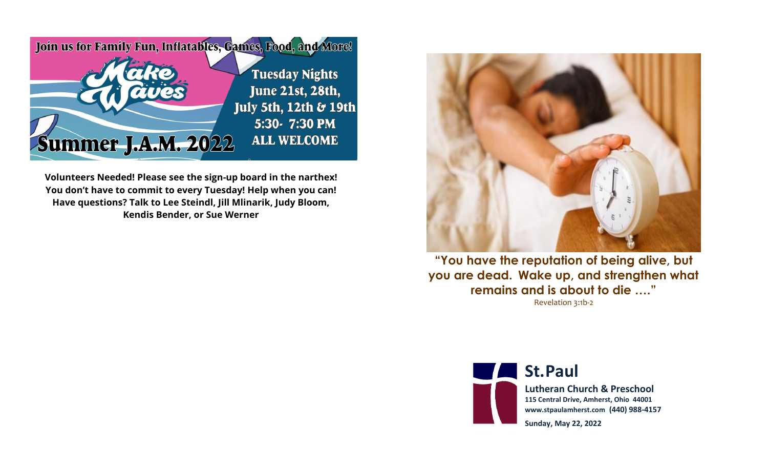

**Volunteers Needed! Please see the sign-up board in the narthex! You don't have to commit to every Tuesday! Help when you can! Have questions? Talk to Lee Steindl, Jill Mlinarik, Judy Bloom, Kendis Bender, or Sue Werner**



**"You have the reputation of being alive, but you are dead. Wake up, and strengthen what remains and is about to die …."**  Revelation 3:1b-2



**St.Paul** 

**Lutheran Church & Preschool 115 Central Drive, Amherst, Ohio 44001 www.stpaulamherst.com (440) 988-4157**

**Sunday, May 22, 2022**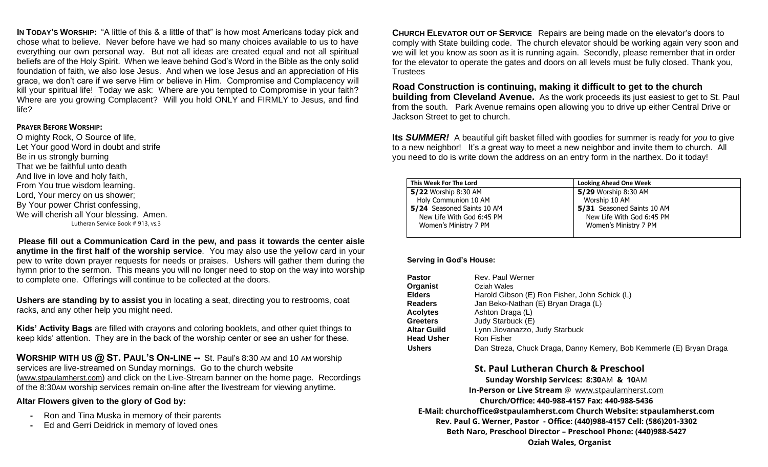**IN TODAY'S WORSHIP:** "A little of this & a little of that" is how most Americans today pick and chose what to believe. Never before have we had so many choices available to us to have everything our own personal way. But not all ideas are created equal and not all spiritual beliefs are of the Holy Spirit. When we leave behind God's Word in the Bible as the only solid foundation of faith, we also lose Jesus. And when we lose Jesus and an appreciation of His grace, we don't care if we serve Him or believe in Him. Compromise and Complacency will kill your spiritual life! Today we ask: Where are you tempted to Compromise in your faith? Where are you growing Complacent? Will you hold ONLY and FIRMLY to Jesus, and find life?

## **PRAYER BEFORE WORSHIP:**

O mighty Rock, O Source of life, Let Your good Word in doubt and strife Be in us strongly burning That we be faithful unto death And live in love and holy faith, From You true wisdom learning. Lord, Your mercy on us shower; By Your power Christ confessing, We will cherish all Your blessing. Amen. Lutheran Service Book # 913, vs.3

**Please fill out a Communication Card in the pew, and pass it towards the center aisle anytime in the first half of the worship service**. You may also use the yellow card in your pew to write down prayer requests for needs or praises. Ushers will gather them during the hymn prior to the sermon. This means you will no longer need to stop on the way into worship to complete one. Offerings will continue to be collected at the doors.

**Ushers are standing by to assist you** in locating a seat, directing you to restrooms, coat racks, and any other help you might need.

**Kids' Activity Bags** are filled with crayons and coloring booklets, and other quiet things to keep kids' attention. They are in the back of the worship center or see an usher for these.

**WORSHIP WITH US @ ST. PAUL'S ON-LINE --** St. Paul's 8:30 AM and 10 AM worship services are live-streamed on Sunday mornings. Go to the church website (www.stpaulamherst.com) and click on the Live-Stream banner on the home page. Recordings of the 8:30AM worship services remain on-line after the livestream for viewing anytime.

## **Altar Flowers given to the glory of God by:**

- **-** Ron and Tina Muska in memory of their parents
- **-** Ed and Gerri Deidrick in memory of loved ones

**CHURCH ELEVATOR OUT OF SERVICE** Repairs are being made on the elevator's doors to comply with State building code. The church elevator should be working again very soon and we will let you know as soon as it is running again. Secondly, please remember that in order for the elevator to operate the gates and doors on all levels must be fully closed. Thank you, **Trustees** 

**Road Construction is continuing, making it difficult to get to the church building from Cleveland Avenue.** As the work proceeds its just easiest to get to St. Paul from the south. Park Avenue remains open allowing you to drive up either Central Drive or Jackson Street to get to church.

**Its** *SUMMER!* A beautiful gift basket filled with goodies for summer is ready for *you* to give to a new neighbor! It's a great way to meet a new neighbor and invite them to church. All you need to do is write down the address on an entry form in the narthex. Do it today!

| This Week For The Lord     | <b>Looking Ahead One Week</b> |
|----------------------------|-------------------------------|
| 5/22 Worship 8:30 AM       | 5/29 Worship 8:30 AM          |
| Holy Communion 10 AM       | Worship 10 AM                 |
| 5/24 Seasoned Saints 10 AM | 5/31 Seasoned Saints 10 AM    |
| New Life With God 6:45 PM  | New Life With God 6:45 PM     |
| Women's Ministry 7 PM      | Women's Ministry 7 PM         |
|                            |                               |

## **Serving in God's House:**

| <b>Pastor</b>      | Rev. Paul Werner                                                    |
|--------------------|---------------------------------------------------------------------|
| Organist           | Oziah Wales                                                         |
| <b>Elders</b>      | Harold Gibson (E) Ron Fisher, John Schick (L)                       |
| <b>Readers</b>     | Jan Beko-Nathan (E) Bryan Draga (L)                                 |
| <b>Acolytes</b>    | Ashton Draga (L)                                                    |
| <b>Greeters</b>    | Judy Starbuck (E)                                                   |
| <b>Altar Guild</b> | Lynn Jiovanazzo, Judy Starbuck                                      |
| <b>Head Usher</b>  | Ron Fisher                                                          |
| <b>Ushers</b>      | Dan Streza, Chuck Draga, Danny Kemery, Bob Kemmerle (E) Bryan Draga |

**St. Paul Lutheran Church & Preschool**

**Sunday Worship Services: 8:30**AM **& 10**AM

**In-Person or Live Stream** @ [www.stpaulamherst.com](http://www.stpaulamherst.com/)

**Church/Office: 440-988-4157 Fax: 440-988-5436**

**E-Mail: churchoffice@stpaulamherst.com Church Website: stpaulamherst.com Rev. Paul G. Werner, Pastor - Office: (440)988-4157 Cell: (586)201-3302 Beth Naro, Preschool Director – Preschool Phone: (440)988-5427 Oziah Wales, Organist**